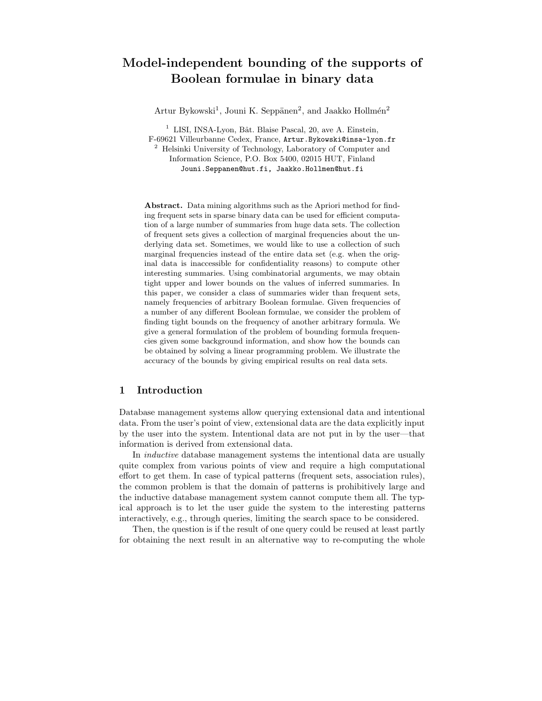# Model-independent bounding of the supports of Boolean formulae in binary data

Artur Bykowski<sup>1</sup>, Jouni K. Seppänen<sup>2</sup>, and Jaakko Hollmén<sup>2</sup>

<sup>1</sup> LISI, INSA-Lyon, Bât. Blaise Pascal, 20, ave A. Einstein, F-69621 Villeurbanne Cedex, France, Artur.Bykowski@insa-lyon.fr <sup>2</sup> Helsinki University of Technology, Laboratory of Computer and Information Science, P.O. Box 5400, 02015 HUT, Finland Jouni.Seppanen@hut.fi, Jaakko.Hollmen@hut.fi

Abstract. Data mining algorithms such as the Apriori method for finding frequent sets in sparse binary data can be used for efficient computation of a large number of summaries from huge data sets. The collection of frequent sets gives a collection of marginal frequencies about the underlying data set. Sometimes, we would like to use a collection of such marginal frequencies instead of the entire data set (e.g. when the original data is inaccessible for confidentiality reasons) to compute other interesting summaries. Using combinatorial arguments, we may obtain tight upper and lower bounds on the values of inferred summaries. In this paper, we consider a class of summaries wider than frequent sets, namely frequencies of arbitrary Boolean formulae. Given frequencies of a number of any different Boolean formulae, we consider the problem of finding tight bounds on the frequency of another arbitrary formula. We give a general formulation of the problem of bounding formula frequencies given some background information, and show how the bounds can be obtained by solving a linear programming problem. We illustrate the accuracy of the bounds by giving empirical results on real data sets.

## 1 Introduction

Database management systems allow querying extensional data and intentional data. From the user's point of view, extensional data are the data explicitly input by the user into the system. Intentional data are not put in by the user—that information is derived from extensional data.

In inductive database management systems the intentional data are usually quite complex from various points of view and require a high computational effort to get them. In case of typical patterns (frequent sets, association rules), the common problem is that the domain of patterns is prohibitively large and the inductive database management system cannot compute them all. The typical approach is to let the user guide the system to the interesting patterns interactively, e.g., through queries, limiting the search space to be considered.

Then, the question is if the result of one query could be reused at least partly for obtaining the next result in an alternative way to re-computing the whole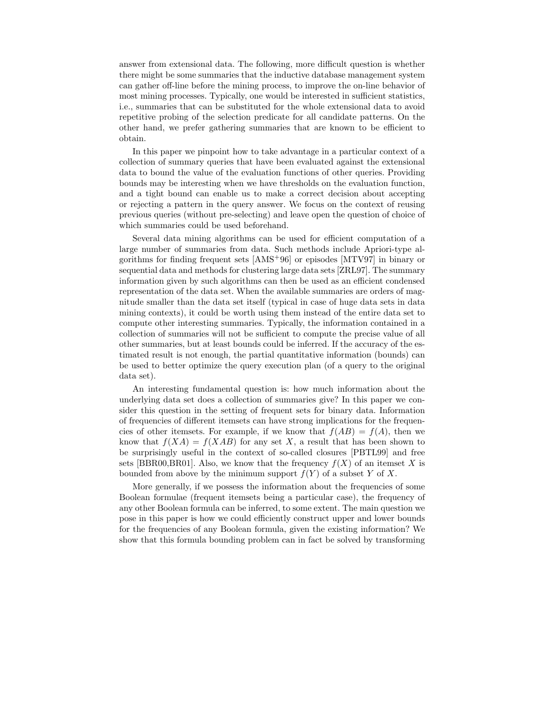answer from extensional data. The following, more difficult question is whether there might be some summaries that the inductive database management system can gather off-line before the mining process, to improve the on-line behavior of most mining processes. Typically, one would be interested in sufficient statistics, i.e., summaries that can be substituted for the whole extensional data to avoid repetitive probing of the selection predicate for all candidate patterns. On the other hand, we prefer gathering summaries that are known to be efficient to obtain.

In this paper we pinpoint how to take advantage in a particular context of a collection of summary queries that have been evaluated against the extensional data to bound the value of the evaluation functions of other queries. Providing bounds may be interesting when we have thresholds on the evaluation function, and a tight bound can enable us to make a correct decision about accepting or rejecting a pattern in the query answer. We focus on the context of reusing previous queries (without pre-selecting) and leave open the question of choice of which summaries could be used beforehand.

Several data mining algorithms can be used for efficient computation of a large number of summaries from data. Such methods include Apriori-type algorithms for finding frequent sets [AMS<sup>+</sup>96] or episodes [MTV97] in binary or sequential data and methods for clustering large data sets [ZRL97]. The summary information given by such algorithms can then be used as an efficient condensed representation of the data set. When the available summaries are orders of magnitude smaller than the data set itself (typical in case of huge data sets in data mining contexts), it could be worth using them instead of the entire data set to compute other interesting summaries. Typically, the information contained in a collection of summaries will not be sufficient to compute the precise value of all other summaries, but at least bounds could be inferred. If the accuracy of the estimated result is not enough, the partial quantitative information (bounds) can be used to better optimize the query execution plan (of a query to the original data set).

An interesting fundamental question is: how much information about the underlying data set does a collection of summaries give? In this paper we consider this question in the setting of frequent sets for binary data. Information of frequencies of different itemsets can have strong implications for the frequencies of other itemsets. For example, if we know that  $f(AB) = f(A)$ , then we know that  $f(XA) = f(XAB)$  for any set X, a result that has been shown to be surprisingly useful in the context of so-called closures [PBTL99] and free sets [BBR00,BR01]. Also, we know that the frequency  $f(X)$  of an itemset X is bounded from above by the minimum support  $f(Y)$  of a subset Y of X.

More generally, if we possess the information about the frequencies of some Boolean formulae (frequent itemsets being a particular case), the frequency of any other Boolean formula can be inferred, to some extent. The main question we pose in this paper is how we could efficiently construct upper and lower bounds for the frequencies of any Boolean formula, given the existing information? We show that this formula bounding problem can in fact be solved by transforming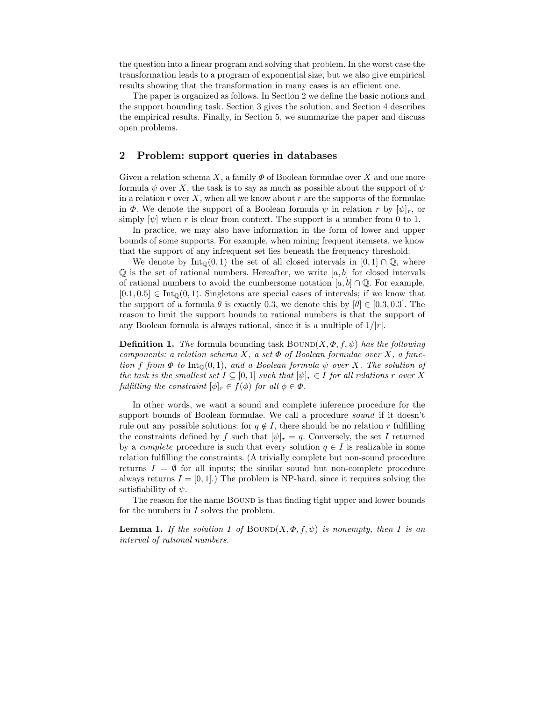the question into a linear program and solving that problem. In the worst case the transformation leads to a program of exponential size, but we also give empirical results showing that the transformation in many cases is an efficient one.

The paper is organized as follows. In Section 2 we define the basic notions and the support bounding task. Section 3 gives the solution, and Section 4 describes the empirical results. Finally, in Section 5, we summarize the paper and discuss open problems.

## 2 Problem: support queries in databases

Given a relation schema X, a family  $\Phi$  of Boolean formulae over X and one more formula  $\psi$  over X, the task is to say as much as possible about the support of  $\psi$ in a relation  $r$  over  $X$ , when all we know about  $r$  are the supports of the formulae in Φ. We denote the support of a Boolean formula  $\psi$  in relation r by  $[\psi]_r$ , or simply  $[\psi]$  when r is clear from context. The support is a number from 0 to 1.

In practice, we may also have information in the form of lower and upper bounds of some supports. For example, when mining frequent itemsets, we know that the support of any infrequent set lies beneath the frequency threshold.

We denote by  $Int_{\mathbb{O}}(0,1)$  the set of all closed intervals in  $[0,1] \cap \mathbb{Q}$ , where  $\mathbb Q$  is the set of rational numbers. Hereafter, we write  $[a, b]$  for closed intervals of rational numbers to avoid the cumbersome notation  $[a, b] \cap \mathbb{Q}$ . For example,  $[0.1, 0.5] \in \text{Int}_{\mathbb{Q}}(0, 1)$ . Singletons are special cases of intervals; if we know that the support of a formula  $\theta$  is exactly 0.3, we denote this by  $[\theta] \in [0.3, 0.3]$ . The reason to limit the support bounds to rational numbers is that the support of any Boolean formula is always rational, since it is a multiple of  $1/|r|$ .

**Definition 1.** The formula bounding task  $BOUND(X, \Phi, f, \psi)$  has the following components: a relation schema X, a set  $\Phi$  of Boolean formulae over X, a function f from  $\Phi$  to Int<sub>0</sub>(0,1), and a Boolean formula  $\psi$  over X. The solution of the task is the smallest set  $I \subseteq [0,1]$  such that  $[\psi]_r \in I$  for all relations r over X fulfilling the constraint  $[\phi]_r \in f(\phi)$  for all  $\phi \in \Phi$ .

In other words, we want a sound and complete inference procedure for the support bounds of Boolean formulae. We call a procedure sound if it doesn't rule out any possible solutions: for  $q \notin I$ , there should be no relation r fulfilling the constraints defined by f such that  $[\psi]_r = q$ . Conversely, the set I returned by a *complete* procedure is such that every solution  $q \in I$  is realizable in some relation fulfilling the constraints. (A trivially complete but non-sound procedure returns  $I = \emptyset$  for all inputs; the similar sound but non-complete procedure always returns  $I = [0, 1]$ . The problem is NP-hard, since it requires solving the satisfiability of  $\psi$ .

The reason for the name BOUND is that finding tight upper and lower bounds for the numbers in  $I$  solves the problem.

**Lemma 1.** If the solution I of BOUND $(X, \Phi, f, \psi)$  is nonempty, then I is an interval of rational numbers.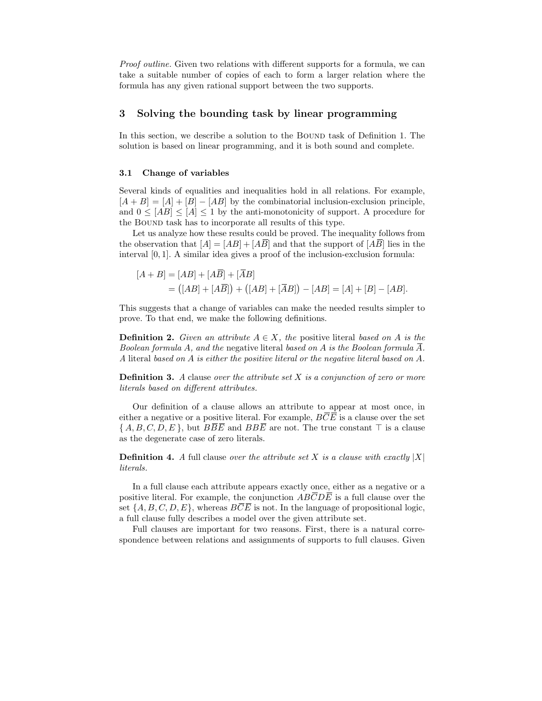Proof outline. Given two relations with different supports for a formula, we can take a suitable number of copies of each to form a larger relation where the formula has any given rational support between the two supports.

## 3 Solving the bounding task by linear programming

In this section, we describe a solution to the BOUND task of Definition 1. The solution is based on linear programming, and it is both sound and complete.

#### 3.1 Change of variables

Several kinds of equalities and inequalities hold in all relations. For example,  $[A + B] = [A] + [B] - [AB]$  by the combinatorial inclusion-exclusion principle, and  $0 \leq [AB] \leq [A] \leq 1$  by the anti-monotonicity of support. A procedure for the BOUND task has to incorporate all results of this type.

Let us analyze how these results could be proved. The inequality follows from the observation that  $[A] = [AB] + [A\overline{B}]$  and that the support of  $[A\overline{B}]$  lies in the interval [0, 1]. A similar idea gives a proof of the inclusion-exclusion formula:

$$
[A + B] = [AB] + [A\overline{B}] + [\overline{A}B]
$$
  
= ([AB] + [A\overline{B}]) + ([AB] + [\overline{A}B]) - [AB] = [A] + [B] - [AB].

This suggests that a change of variables can make the needed results simpler to prove. To that end, we make the following definitions.

**Definition 2.** Given an attribute  $A \in X$ , the positive literal based on A is the Boolean formula A, and the negative literal based on A is the Boolean formula A. A literal based on A is either the positive literal or the negative literal based on A.

**Definition 3.** A clause over the attribute set  $X$  is a conjunction of zero or more literals based on different attributes.

Our definition of a clause allows an attribute to appear at most once, in either a negative or a positive literal. For example,  $B\overline{C}\overline{E}$  is a clause over the set  $\{A, B, C, D, E\}$ , but  $B\overline{B}\overline{E}$  and  $B B\overline{E}$  are not. The true constant  $\top$  is a clause as the degenerate case of zero literals.

**Definition 4.** A full clause over the attribute set X is a clause with exactly  $|X|$ literals.

In a full clause each attribute appears exactly once, either as a negative or a positive literal. For example, the conjunction ABCDE is a full clause over the set  $\{A, B, C, D, E\}$ , whereas  $B\overline{C}\overline{E}$  is not. In the language of propositional logic, a full clause fully describes a model over the given attribute set.

Full clauses are important for two reasons. First, there is a natural correspondence between relations and assignments of supports to full clauses. Given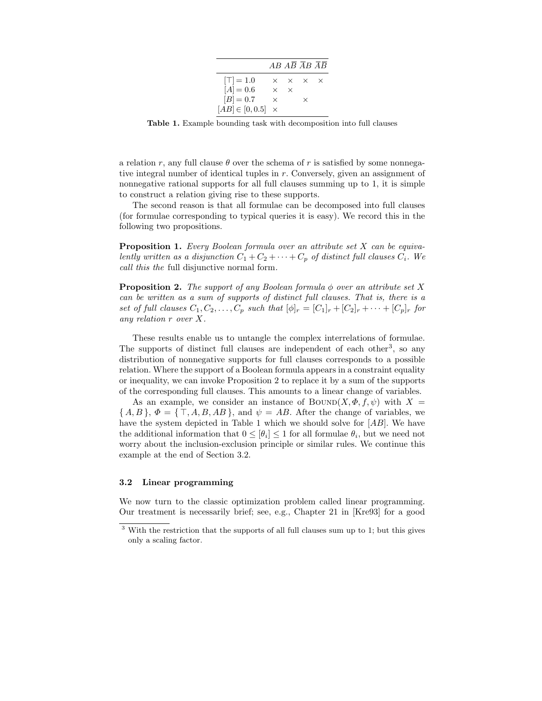|                     |          |                   | AB AB AB AB |              |
|---------------------|----------|-------------------|-------------|--------------|
| $ T  = 1.0$         | $\times$ | $\times$ $\times$ |             | $\mathsf{X}$ |
| $[A] = 0.6$         | $\times$ | $\times$          |             |              |
| $[B] = 0.7$         | $\times$ |                   | $\times$    |              |
| $[AB] \in [0, 0.5]$ | $\times$ |                   |             |              |

Table 1. Example bounding task with decomposition into full clauses

a relation r, any full clause  $\theta$  over the schema of r is satisfied by some nonnegative integral number of identical tuples in r. Conversely, given an assignment of nonnegative rational supports for all full clauses summing up to 1, it is simple to construct a relation giving rise to these supports.

The second reason is that all formulae can be decomposed into full clauses (for formulae corresponding to typical queries it is easy). We record this in the following two propositions.

**Proposition 1.** Every Boolean formula over an attribute set  $X$  can be equivalently written as a disjunction  $C_1 + C_2 + \cdots + C_p$  of distinct full clauses  $C_i$ . We call this the full disjunctive normal form.

**Proposition 2.** The support of any Boolean formula  $\phi$  over an attribute set X can be written as a sum of supports of distinct full clauses. That is, there is a set of full clauses  $C_1, C_2, \ldots, C_p$  such that  $[\phi]_r = [C_1]_r + [C_2]_r + \cdots + [C_p]_r$  for any relation r over X.

These results enable us to untangle the complex interrelations of formulae. The supports of distinct full clauses are independent of each other<sup>3</sup>, so any distribution of nonnegative supports for full clauses corresponds to a possible relation. Where the support of a Boolean formula appears in a constraint equality or inequality, we can invoke Proposition 2 to replace it by a sum of the supports of the corresponding full clauses. This amounts to a linear change of variables.

As an example, we consider an instance of BOUND $(X, \Phi, f, \psi)$  with  $X =$  ${A, B}$ ,  $\Phi = {\{\top, A, B, AB\}}$ , and  $\psi = AB$ . After the change of variables, we have the system depicted in Table 1 which we should solve for [AB]. We have the additional information that  $0 \leq [\theta_i] \leq 1$  for all formulae  $\theta_i$ , but we need not worry about the inclusion-exclusion principle or similar rules. We continue this example at the end of Section 3.2.

#### 3.2 Linear programming

We now turn to the classic optimization problem called linear programming. Our treatment is necessarily brief; see, e.g., Chapter 21 in [Kre93] for a good

<sup>3</sup> With the restriction that the supports of all full clauses sum up to 1; but this gives only a scaling factor.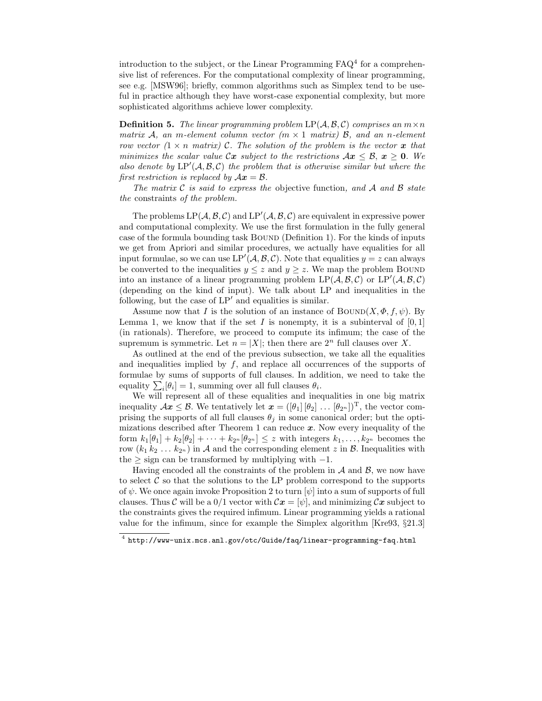introduction to the subject, or the Linear Programming  $\text{FAQ}^4$  for a comprehensive list of references. For the computational complexity of linear programming, see e.g. [MSW96]; briefly, common algorithms such as Simplex tend to be useful in practice although they have worst-case exponential complexity, but more sophisticated algorithms achieve lower complexity.

**Definition 5.** The linear programming problem  $LP(A, \mathcal{B}, \mathcal{C})$  comprises an  $m \times n$ matrix A, an m-element column vector  $(m \times 1$  matrix) B, and an n-element row vector  $(1 \times n \text{ matrix})$  C. The solution of the problem is the vector x that minimizes the scalar value  $\mathcal{C}x$  subject to the restrictions  $\mathcal{A}x \leq \mathcal{B}, x \geq 0$ . We also denote by  $LP'(\mathcal{A}, \mathcal{B}, \mathcal{C})$  the problem that is otherwise similar but where the first restriction is replaced by  $Ax = B$ .

The matrix  $\mathcal C$  is said to express the objective function, and  $\mathcal A$  and  $\mathcal B$  state the constraints of the problem.

The problems  $LP(\mathcal{A}, \mathcal{B}, \mathcal{C})$  and  $LP'(\mathcal{A}, \mathcal{B}, \mathcal{C})$  are equivalent in expressive power and computational complexity. We use the first formulation in the fully general case of the formula bounding task BOUND (Definition 1). For the kinds of inputs we get from Apriori and similar procedures, we actually have equalities for all input formulae, so we can use  $LP'(\mathcal{A}, \mathcal{B}, \mathcal{C})$ . Note that equalities  $y = z$  can always be converted to the inequalities  $y \leq z$  and  $y \geq z$ . We map the problem BOUND into an instance of a linear programming problem  $LP(\mathcal{A}, \mathcal{B}, \mathcal{C})$  or  $LP'(\mathcal{A}, \mathcal{B}, \mathcal{C})$ (depending on the kind of input). We talk about LP and inequalities in the following, but the case of  $LP'$  and equalities is similar.

Assume now that I is the solution of an instance of  $\text{BOUND}(X, \Phi, f, \psi)$ . By Lemma 1, we know that if the set I is nonempty, it is a subinterval of  $[0,1]$ (in rationals). Therefore, we proceed to compute its infimum; the case of the supremum is symmetric. Let  $n = |X|$ ; then there are  $2<sup>n</sup>$  full clauses over X.

As outlined at the end of the previous subsection, we take all the equalities and inequalities implied by  $f$ , and replace all occurrences of the supports of formulae by sums of supports of full clauses. In addition, we need to take the equality  $\sum_i [\theta_i] = 1$ , summing over all full clauses  $\theta_i$ .

We will represent all of these equalities and inequalities in one big matrix inequality  $Ax \leq \mathcal{B}$ . We tentatively let  $\mathbf{x} = ([\theta_1][\theta_2] \dots [\theta_{2^n}])^T$ , the vector comprising the supports of all full clauses  $\theta_i$  in some canonical order; but the optimizations described after Theorem 1 can reduce  $x$ . Now every inequality of the form  $k_1[\theta_1] + k_2[\theta_2] + \cdots + k_{2^n}[\theta_{2^n}] \leq z$  with integers  $k_1, \ldots, k_{2^n}$  becomes the row  $(k_1 k_2 \ldots k_{2^n})$  in A and the corresponding element z in B. Inequalities with the  $\geq$  sign can be transformed by multiplying with  $-1$ .

Having encoded all the constraints of the problem in  $A$  and  $B$ , we now have to select  $\mathcal C$  so that the solutions to the LP problem correspond to the supports of  $\psi$ . We once again invoke Proposition 2 to turn  $[\psi]$  into a sum of supports of full clauses. Thus C will be a  $0/1$  vector with  $\mathcal{C}x = [\psi]$ , and minimizing  $\mathcal{C}x$  subject to the constraints gives the required infimum. Linear programming yields a rational value for the infimum, since for example the Simplex algorithm [Kre93, §21.3]

<sup>4</sup> http://www-unix.mcs.anl.gov/otc/Guide/faq/linear-programming-faq.html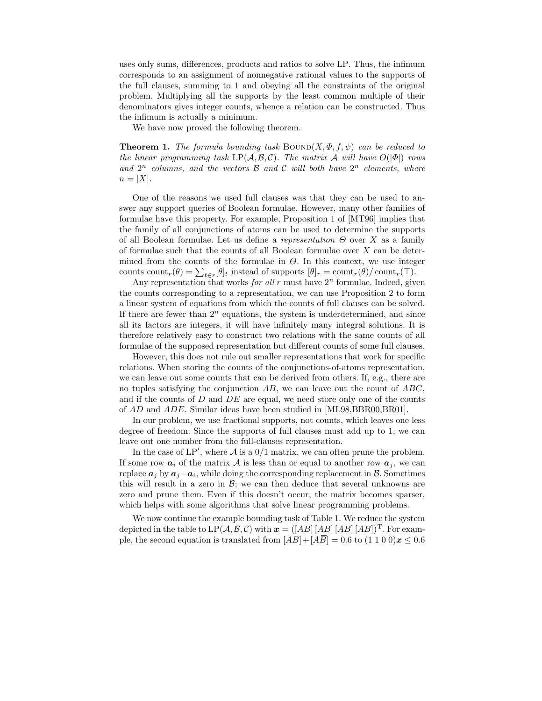uses only sums, differences, products and ratios to solve LP. Thus, the infimum corresponds to an assignment of nonnegative rational values to the supports of the full clauses, summing to 1 and obeying all the constraints of the original problem. Multiplying all the supports by the least common multiple of their denominators gives integer counts, whence a relation can be constructed. Thus the infimum is actually a minimum.

We have now proved the following theorem.

**Theorem 1.** The formula bounding task  $BOUND(X, \Phi, f, \psi)$  can be reduced to the linear programming task  $LP(\mathcal{A}, \mathcal{B}, \mathcal{C})$ . The matrix  $\mathcal{A}$  will have  $O(|\Phi|)$  rows and  $2^n$  columns, and the vectors  $\mathcal B$  and  $\mathcal C$  will both have  $2^n$  elements, where  $n = |X|.$ 

One of the reasons we used full clauses was that they can be used to answer any support queries of Boolean formulae. However, many other families of formulae have this property. For example, Proposition 1 of [MT96] implies that the family of all conjunctions of atoms can be used to determine the supports of all Boolean formulae. Let us define a *representation*  $\Theta$  over X as a family of formulae such that the counts of all Boolean formulae over  $X$  can be determined from the counts of the formulae in  $\Theta$ . In this context, we use integer counts  $\text{count}_r(\theta) = \sum_{t \in r} [\theta]_t$  instead of supports  $[\theta]_r = \text{count}_r(\theta) / \text{count}_r(\top)$ .

Any representation that works *for all r* must have  $2<sup>n</sup>$  formulae. Indeed, given the counts corresponding to a representation, we can use Proposition 2 to form a linear system of equations from which the counts of full clauses can be solved. If there are fewer than  $2^n$  equations, the system is underdetermined, and since all its factors are integers, it will have infinitely many integral solutions. It is therefore relatively easy to construct two relations with the same counts of all formulae of the supposed representation but different counts of some full clauses.

However, this does not rule out smaller representations that work for specific relations. When storing the counts of the conjunctions-of-atoms representation, we can leave out some counts that can be derived from others. If, e.g., there are no tuples satisfying the conjunction  $AB$ , we can leave out the count of  $ABC$ , and if the counts of  $D$  and  $DE$  are equal, we need store only one of the counts of AD and ADE. Similar ideas have been studied in [ML98,BBR00,BR01].

In our problem, we use fractional supports, not counts, which leaves one less degree of freedom. Since the supports of full clauses must add up to 1, we can leave out one number from the full-clauses representation.

In the case of LP', where  $A$  is a  $0/1$  matrix, we can often prune the problem. If some row  $a_i$  of the matrix A is less than or equal to another row  $a_j$ , we can replace  $a_j$  by  $a_j - a_i$ , while doing the corresponding replacement in  $\mathcal{B}$ . Sometimes this will result in a zero in  $\mathcal{B}$ ; we can then deduce that several unknowns are zero and prune them. Even if this doesn't occur, the matrix becomes sparser, which helps with some algorithms that solve linear programming problems.

We now continue the example bounding task of Table 1. We reduce the system depicted in the table to  $LP(\mathcal{A}, \mathcal{B}, \mathcal{C})$  with  $\mathbf{x} = (\lfloor AB \rfloor \lfloor AB \rfloor \lfloor \overline{AB} \rfloor \lfloor \overline{AB} \rfloor)^{\mathrm{T}}$ . For example, the second equation is translated from  $[AB]+[AB] = 0.6$  to  $(1\ 1\ 0\ 0)\mathbf{x} \le 0.6$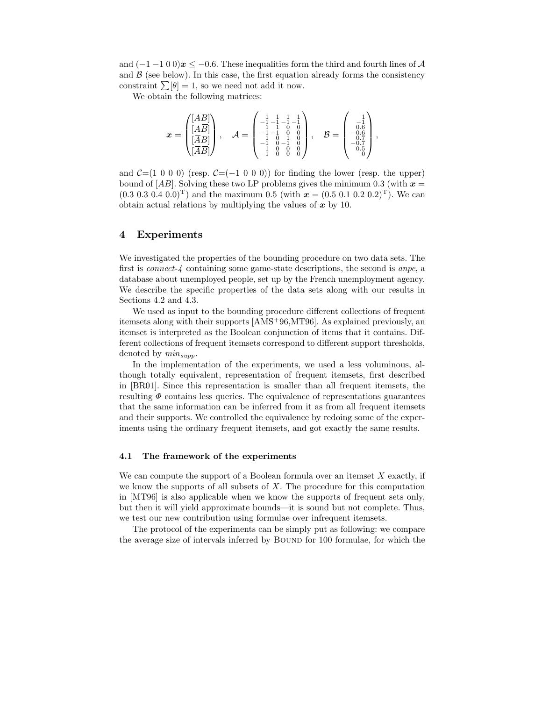and  $(-1 -1 0 0)\mathbf{x} \leq -0.6$ . These inequalities form the third and fourth lines of A and  $\beta$  (see below). In this case, the first equation already forms the consistency constraint  $\sum[\theta] = 1$ , so we need not add it now.

We obtain the following matrices:

| Δ<br>$\boldsymbol{x} =$<br>$\overline{\phantom{a}}$ |  | × | -4<br>$\sim$<br>υ<br>$\overline{1}$<br>$\overline{0}$<br>0<br>U<br>0 | $\substack{0\\0\\0\\0}$<br>0<br>0 | $=$ | $_{0.6}$<br>0.6<br>v. 1<br>0.5<br>U |  |
|-----------------------------------------------------|--|---|----------------------------------------------------------------------|-----------------------------------|-----|-------------------------------------|--|
|-----------------------------------------------------|--|---|----------------------------------------------------------------------|-----------------------------------|-----|-------------------------------------|--|

and  $C=(1\ 0\ 0\ 0)$  (resp.  $C=(-1\ 0\ 0\ 0)$ ) for finding the lower (resp. the upper) bound of [AB]. Solving these two LP problems gives the minimum 0.3 (with  $x =$  $(0.3 \ 0.3 \ 0.4 \ 0.0)^T$  and the maximum 0.5 (with  $x = (0.5 \ 0.1 \ 0.2 \ 0.2)^T$ ). We can obtain actual relations by multiplying the values of  $x$  by 10.

## 4 Experiments

We investigated the properties of the bounding procedure on two data sets. The first is connect-4 containing some game-state descriptions, the second is anpe, a database about unemployed people, set up by the French unemployment agency. We describe the specific properties of the data sets along with our results in Sections 4.2 and 4.3.

We used as input to the bounding procedure different collections of frequent itemsets along with their supports [AMS<sup>+</sup>96,MT96]. As explained previously, an itemset is interpreted as the Boolean conjunction of items that it contains. Different collections of frequent itemsets correspond to different support thresholds, denoted by  $min_{supp}$ .

In the implementation of the experiments, we used a less voluminous, although totally equivalent, representation of frequent itemsets, first described in [BR01]. Since this representation is smaller than all frequent itemsets, the resulting  $\Phi$  contains less queries. The equivalence of representations guarantees that the same information can be inferred from it as from all frequent itemsets and their supports. We controlled the equivalence by redoing some of the experiments using the ordinary frequent itemsets, and got exactly the same results.

#### 4.1 The framework of the experiments

We can compute the support of a Boolean formula over an itemset  $X$  exactly, if we know the supports of all subsets of  $X$ . The procedure for this computation in [MT96] is also applicable when we know the supports of frequent sets only, but then it will yield approximate bounds—it is sound but not complete. Thus, we test our new contribution using formulae over infrequent itemsets.

The protocol of the experiments can be simply put as following: we compare the average size of intervals inferred by Bound for 100 formulae, for which the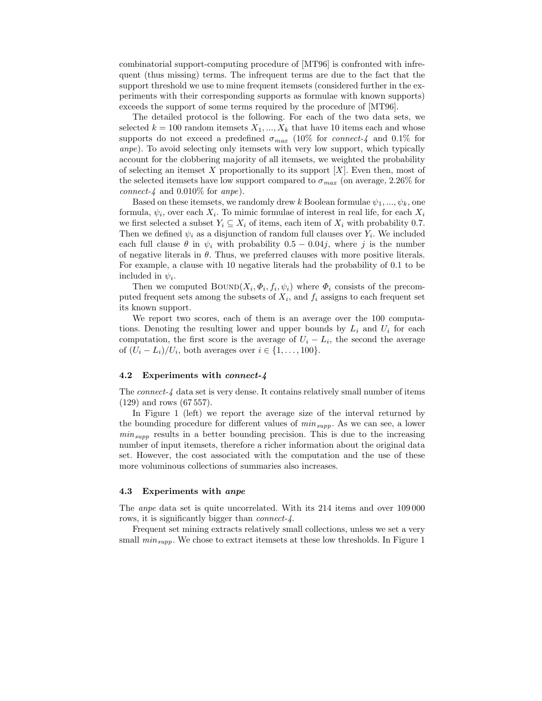combinatorial support-computing procedure of [MT96] is confronted with infrequent (thus missing) terms. The infrequent terms are due to the fact that the support threshold we use to mine frequent itemsets (considered further in the experiments with their corresponding supports as formulae with known supports) exceeds the support of some terms required by the procedure of [MT96].

The detailed protocol is the following. For each of the two data sets, we selected  $k = 100$  random itemsets  $X_1, ..., X_k$  that have 10 items each and whose supports do not exceed a predefined  $\sigma_{max}$  (10% for *connect-4* and 0.1% for anpe). To avoid selecting only itemsets with very low support, which typically account for the clobbering majority of all itemsets, we weighted the probability of selecting an itemset X proportionally to its support  $[X]$ . Even then, most of the selected itemsets have low support compared to  $\sigma_{max}$  (on average, 2.26% for connect- $4 \text{ and } 0.010\% \text{ for } amp$ e).

Based on these itemsets, we randomly drew k Boolean formulae  $\psi_1, ..., \psi_k$ , one formula,  $\psi_i$ , over each  $X_i$ . To mimic formulae of interest in real life, for each  $X_i$ we first selected a subset  $Y_i \subseteq X_i$  of items, each item of  $X_i$  with probability 0.7. Then we defined  $\psi_i$  as a disjunction of random full clauses over  $Y_i$ . We included each full clause  $\theta$  in  $\psi_i$  with probability 0.5 – 0.04*j*, where *j* is the number of negative literals in  $\theta$ . Thus, we preferred clauses with more positive literals. For example, a clause with 10 negative literals had the probability of 0.1 to be included in  $\psi_i$ .

Then we computed  $\text{BOUND}(X_i, \Phi_i, f_i, \psi_i)$  where  $\Phi_i$  consists of the precomputed frequent sets among the subsets of  $X_i$ , and  $f_i$  assigns to each frequent set its known support.

We report two scores, each of them is an average over the 100 computations. Denoting the resulting lower and upper bounds by  $L_i$  and  $U_i$  for each computation, the first score is the average of  $U_i - L_i$ , the second the average of  $(U_i - L_i)/U_i$ , both averages over  $i \in \{1, ..., 100\}$ .

#### 4.2 Experiments with connect-4

The connect-4 data set is very dense. It contains relatively small number of items (129) and rows (67 557).

In Figure 1 (left) we report the average size of the interval returned by the bounding procedure for different values of  $min_{supp}$ . As we can see, a lower  $min_{supp}$  results in a better bounding precision. This is due to the increasing number of input itemsets, therefore a richer information about the original data set. However, the cost associated with the computation and the use of these more voluminous collections of summaries also increases.

#### 4.3 Experiments with anpe

The anpe data set is quite uncorrelated. With its 214 items and over 109 000 rows, it is significantly bigger than *connect-4*.

Frequent set mining extracts relatively small collections, unless we set a very small  $min_{supp}$ . We chose to extract itemsets at these low thresholds. In Figure 1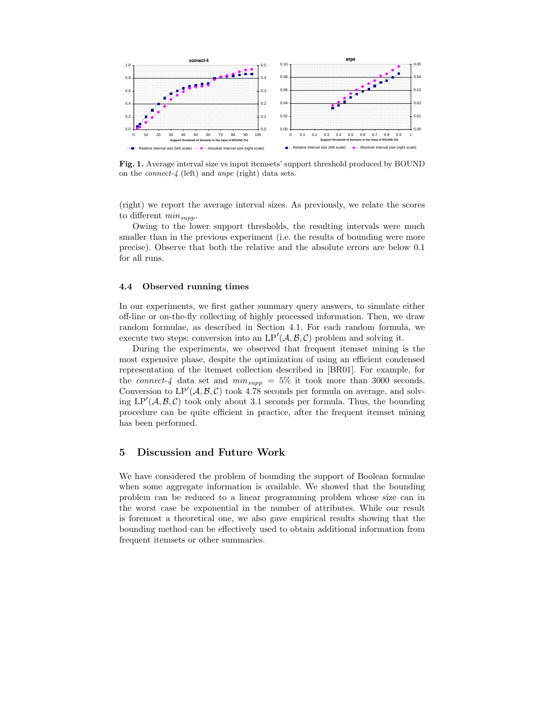

Fig. 1. Average interval size vs input itemsets' support threshold produced by BOUND on the connect-4 (left) and anpe (right) data sets.

(right) we report the average interval sizes. As previously, we relate the scores to different  $min_{supp}$ .

Owing to the lower support thresholds, the resulting intervals were much smaller than in the previous experiment (i.e. the results of bounding were more precise). Observe that both the relative and the absolute errors are below 0.1 for all runs.

### 4.4 Observed running times

In our experiments, we first gather summary query answers, to simulate either off-line or on-the-fly collecting of highly processed information. Then, we draw random formulae, as described in Section 4.1. For each random formula, we execute two steps: conversion into an  $LP'(\mathcal{A}, \mathcal{B}, \mathcal{C})$  problem and solving it.

During the experiments, we observed that frequent itemset mining is the most expensive phase, despite the optimization of using an efficient condensed representation of the itemset collection described in [BR01]. For example, for the *connect-4* data set and  $min_{supp} = 5\%$  it took more than 3000 seconds. Conversion to  $LP'(\mathcal{A}, \mathcal{B}, \mathcal{C})$  took 4.78 seconds per formula on average, and solving  $LP'(\mathcal{A}, \mathcal{B}, \mathcal{C})$  took only about 3.1 seconds per formula. Thus, the bounding procedure can be quite efficient in practice, after the frequent itemset mining has been performed.

## 5 Discussion and Future Work

We have considered the problem of bounding the support of Boolean formulae when some aggregate information is available. We showed that the bounding problem can be reduced to a linear programming problem whose size can in the worst case be exponential in the number of attributes. While our result is foremost a theoretical one, we also gave empirical results showing that the bounding method can be effectively used to obtain additional information from frequent itemsets or other summaries.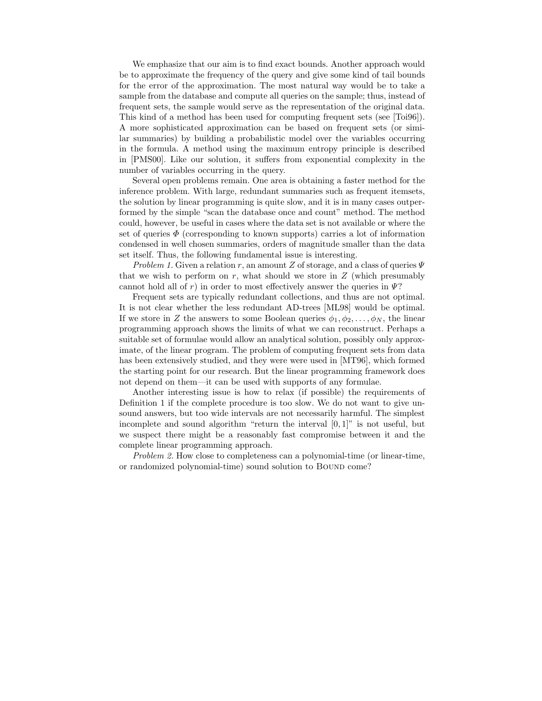We emphasize that our aim is to find exact bounds. Another approach would be to approximate the frequency of the query and give some kind of tail bounds for the error of the approximation. The most natural way would be to take a sample from the database and compute all queries on the sample; thus, instead of frequent sets, the sample would serve as the representation of the original data. This kind of a method has been used for computing frequent sets (see [Toi96]). A more sophisticated approximation can be based on frequent sets (or similar summaries) by building a probabilistic model over the variables occurring in the formula. A method using the maximum entropy principle is described in [PMS00]. Like our solution, it suffers from exponential complexity in the number of variables occurring in the query.

Several open problems remain. One area is obtaining a faster method for the inference problem. With large, redundant summaries such as frequent itemsets, the solution by linear programming is quite slow, and it is in many cases outperformed by the simple "scan the database once and count" method. The method could, however, be useful in cases where the data set is not available or where the set of queries  $\Phi$  (corresponding to known supports) carries a lot of information condensed in well chosen summaries, orders of magnitude smaller than the data set itself. Thus, the following fundamental issue is interesting.

Problem 1. Given a relation r, an amount Z of storage, and a class of queries  $\Psi$ that we wish to perform on r, what should we store in  $Z$  (which presumably cannot hold all of r) in order to most effectively answer the queries in  $\Psi$ ?

Frequent sets are typically redundant collections, and thus are not optimal. It is not clear whether the less redundant AD-trees [ML98] would be optimal. If we store in Z the answers to some Boolean queries  $\phi_1, \phi_2, \ldots, \phi_N$ , the linear programming approach shows the limits of what we can reconstruct. Perhaps a suitable set of formulae would allow an analytical solution, possibly only approximate, of the linear program. The problem of computing frequent sets from data has been extensively studied, and they were were used in [MT96], which formed the starting point for our research. But the linear programming framework does not depend on them—it can be used with supports of any formulae.

Another interesting issue is how to relax (if possible) the requirements of Definition 1 if the complete procedure is too slow. We do not want to give unsound answers, but too wide intervals are not necessarily harmful. The simplest incomplete and sound algorithm "return the interval  $[0, 1]$ " is not useful, but we suspect there might be a reasonably fast compromise between it and the complete linear programming approach.

Problem 2. How close to completeness can a polynomial-time (or linear-time, or randomized polynomial-time) sound solution to Bound come?